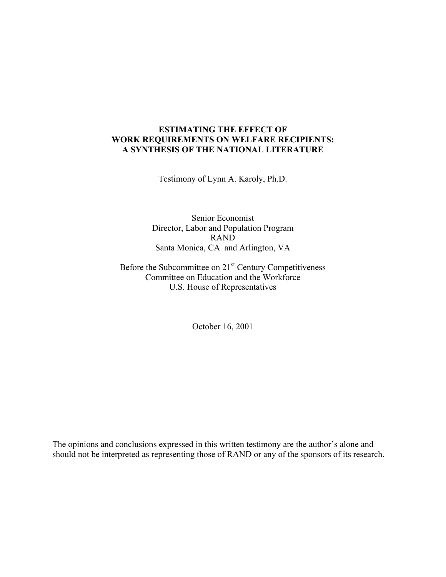# **ESTIMATING THE EFFECT OF WORK REQUIREMENTS ON WELFARE RECIPIENTS: A SYNTHESIS OF THE NATIONAL LITERATURE**

Testimony of Lynn A. Karoly, Ph.D.

Senior Economist Director, Labor and Population Program RAND Santa Monica, CA and Arlington, VA

Before the Subcommittee on 21<sup>st</sup> Century Competitiveness Committee on Education and the Workforce U.S. House of Representatives

October 16, 2001

The opinions and conclusions expressed in this written testimony are the author's alone and should not be interpreted as representing those of RAND or any of the sponsors of its research.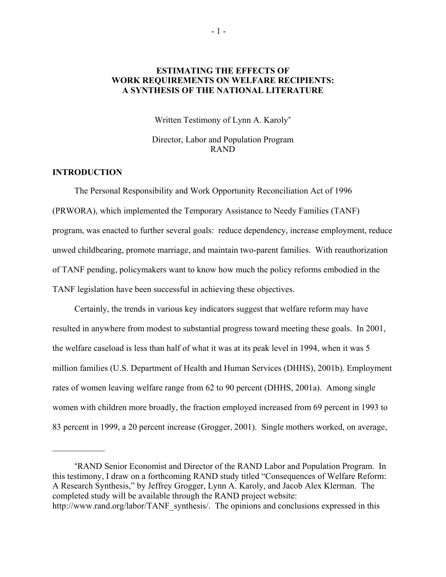## **ESTIMATING THE EFFECTS OF WORK REQUIREMENTS ON WELFARE RECIPIENTS: A SYNTHESIS OF THE NATIONAL LITERATURE**

Written Testimony of Lynn A. Karoly**[\\*](#page-1-0)**

Director, Labor and Population Program RAND

## **INTRODUCTION**

 $\frac{1}{2}$ 

The Personal Responsibility and Work Opportunity Reconciliation Act of 1996 (PRWORA), which implemented the Temporary Assistance to Needy Families (TANF) program, was enacted to further several goals: reduce dependency, increase employment, reduce unwed childbearing, promote marriage, and maintain two-parent families. With reauthorization of TANF pending, policymakers want to know how much the policy reforms embodied in the TANF legislation have been successful in achieving these objectives.

Certainly, the trends in various key indicators suggest that welfare reform may have resulted in anywhere from modest to substantial progress toward meeting these goals. In 2001, the welfare caseload is less than half of what it was at its peak level in 1994, when it was 5 million families (U.S. Department of Health and Human Services (DHHS), 2001b). Employment rates of women leaving welfare range from 62 to 90 percent (DHHS, 2001a). Among single women with children more broadly, the fraction employed increased from 69 percent in 1993 to 83 percent in 1999, a 20 percent increase (Grogger, 2001). Single mothers worked, on average,

<span id="page-1-0"></span><sup>\*</sup>RAND Senior Economist and Director of the RAND Labor and Population Program. In this testimony, I draw on a forthcoming RAND study titled "Consequences of Welfare Reform: A Research Synthesis," by Jeffrey Grogger, Lynn A. Karoly, and Jacob Alex Klerman. The completed study will be available through the RAND project website: http://www.rand.org/labor/TANF\_synthesis/. The opinions and conclusions expressed in this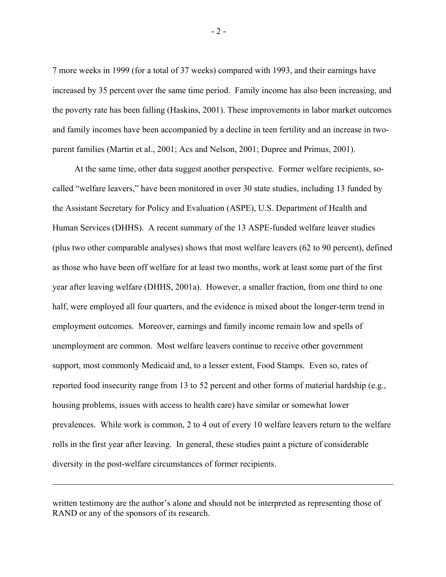7 more weeks in 1999 (for a total of 37 weeks) compared with 1993, and their earnings have increased by 35 percent over the same time period. Family income has also been increasing, and the poverty rate has been falling (Haskins, 2001). These improvements in labor market outcomes and family incomes have been accompanied by a decline in teen fertility and an increase in twoparent families (Martin et al., 2001; Acs and Nelson, 2001; Dupree and Primus, 2001).

At the same time, other data suggest another perspective. Former welfare recipients, socalled "welfare leavers," have been monitored in over 30 state studies, including 13 funded by the Assistant Secretary for Policy and Evaluation (ASPE), U.S. Department of Health and Human Services (DHHS). A recent summary of the 13 ASPE-funded welfare leaver studies (plus two other comparable analyses) shows that most welfare leavers (62 to 90 percent), defined as those who have been off welfare for at least two months, work at least some part of the first year after leaving welfare (DHHS, 2001a). However, a smaller fraction, from one third to one half, were employed all four quarters, and the evidence is mixed about the longer-term trend in employment outcomes. Moreover, earnings and family income remain low and spells of unemployment are common. Most welfare leavers continue to receive other government support, most commonly Medicaid and, to a lesser extent, Food Stamps. Even so, rates of reported food insecurity range from 13 to 52 percent and other forms of material hardship (e.g., housing problems, issues with access to health care) have similar or somewhat lower prevalences. While work is common, 2 to 4 out of every 10 welfare leavers return to the welfare rolls in the first year after leaving. In general, these studies paint a picture of considerable diversity in the post-welfare circumstances of former recipients.

written testimony are the author's alone and should not be interpreted as representing those of RAND or any of the sponsors of its research.

 $\overline{a}$ 

- 2 -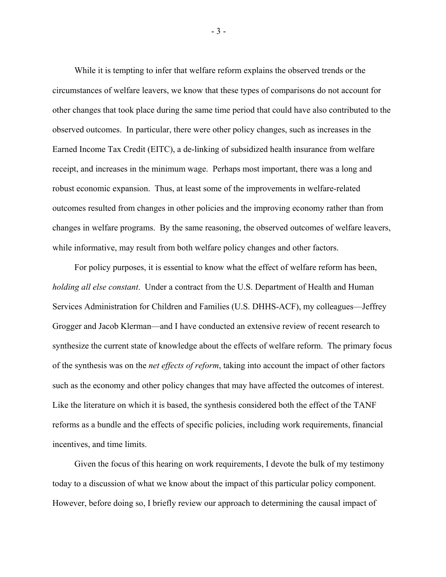While it is tempting to infer that welfare reform explains the observed trends or the circumstances of welfare leavers, we know that these types of comparisons do not account for other changes that took place during the same time period that could have also contributed to the observed outcomes. In particular, there were other policy changes, such as increases in the Earned Income Tax Credit (EITC), a de-linking of subsidized health insurance from welfare receipt, and increases in the minimum wage. Perhaps most important, there was a long and robust economic expansion. Thus, at least some of the improvements in welfare-related outcomes resulted from changes in other policies and the improving economy rather than from changes in welfare programs. By the same reasoning, the observed outcomes of welfare leavers, while informative, may result from both welfare policy changes and other factors.

For policy purposes, it is essential to know what the effect of welfare reform has been, *holding all else constant*. Under a contract from the U.S. Department of Health and Human Services Administration for Children and Families (U.S. DHHS-ACF), my colleagues—Jeffrey Grogger and Jacob Klerman—and I have conducted an extensive review of recent research to synthesize the current state of knowledge about the effects of welfare reform. The primary focus of the synthesis was on the *net effects of reform*, taking into account the impact of other factors such as the economy and other policy changes that may have affected the outcomes of interest. Like the literature on which it is based, the synthesis considered both the effect of the TANF reforms as a bundle and the effects of specific policies, including work requirements, financial incentives, and time limits.

Given the focus of this hearing on work requirements, I devote the bulk of my testimony today to a discussion of what we know about the impact of this particular policy component. However, before doing so, I briefly review our approach to determining the causal impact of

- 3 -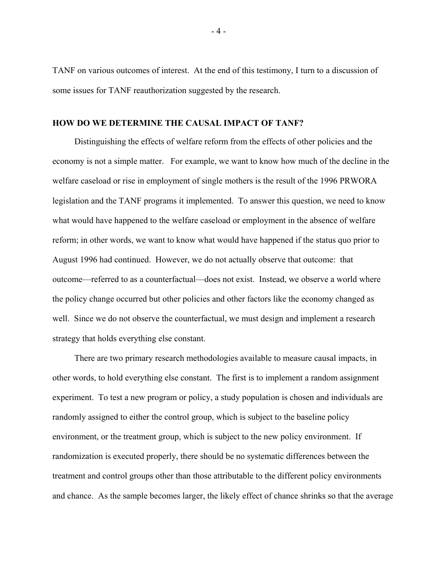TANF on various outcomes of interest. At the end of this testimony, I turn to a discussion of some issues for TANF reauthorization suggested by the research.

### **HOW DO WE DETERMINE THE CAUSAL IMPACT OF TANF?**

Distinguishing the effects of welfare reform from the effects of other policies and the economy is not a simple matter. For example, we want to know how much of the decline in the welfare caseload or rise in employment of single mothers is the result of the 1996 PRWORA legislation and the TANF programs it implemented. To answer this question, we need to know what would have happened to the welfare caseload or employment in the absence of welfare reform; in other words, we want to know what would have happened if the status quo prior to August 1996 had continued. However, we do not actually observe that outcome: that outcome—referred to as a counterfactual—does not exist. Instead, we observe a world where the policy change occurred but other policies and other factors like the economy changed as well. Since we do not observe the counterfactual, we must design and implement a research strategy that holds everything else constant.

There are two primary research methodologies available to measure causal impacts, in other words, to hold everything else constant. The first is to implement a random assignment experiment. To test a new program or policy, a study population is chosen and individuals are randomly assigned to either the control group, which is subject to the baseline policy environment, or the treatment group, which is subject to the new policy environment. If randomization is executed properly, there should be no systematic differences between the treatment and control groups other than those attributable to the different policy environments and chance. As the sample becomes larger, the likely effect of chance shrinks so that the average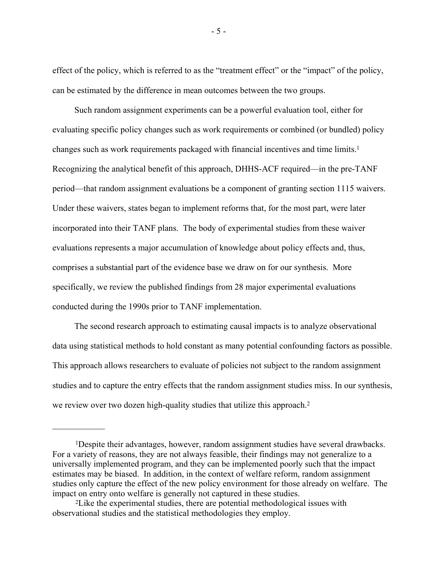effect of the policy, which is referred to as the "treatment effect" or the "impact" of the policy, can be estimated by the difference in mean outcomes between the two groups.

Such random assignment experiments can be a powerful evaluation tool, either for evaluating specific policy changes such as work requirements or combined (or bundled) policy changes such as work requirements packaged with financial incentives and time limits[.1](#page-5-0)  Recognizing the analytical benefit of this approach, DHHS-ACF required—in the pre-TANF period—that random assignment evaluations be a component of granting section 1115 waivers. Under these waivers, states began to implement reforms that, for the most part, were later incorporated into their TANF plans. The body of experimental studies from these waiver evaluations represents a major accumulation of knowledge about policy effects and, thus, comprises a substantial part of the evidence base we draw on for our synthesis. More specifically, we review the published findings from 28 major experimental evaluations conducted during the 1990s prior to TANF implementation.

The second research approach to estimating causal impacts is to analyze observational data using statistical methods to hold constant as many potential confounding factors as possible. This approach allows researchers to evaluate of policies not subject to the random assignment studies and to capture the entry effects that the random assignment studies miss. In our synthesis, we review over two dozen high-quality studies that utilize this approach[.2](#page-5-1) 

 $\frac{1}{2}$ 

- 5 -

<span id="page-5-0"></span><sup>1</sup>Despite their advantages, however, random assignment studies have several drawbacks. For a variety of reasons, they are not always feasible, their findings may not generalize to a universally implemented program, and they can be implemented poorly such that the impact estimates may be biased. In addition, in the context of welfare reform, random assignment studies only capture the effect of the new policy environment for those already on welfare. The impact on entry onto welfare is generally not captured in these studies.

<span id="page-5-1"></span><sup>2</sup>Like the experimental studies, there are potential methodological issues with observational studies and the statistical methodologies they employ.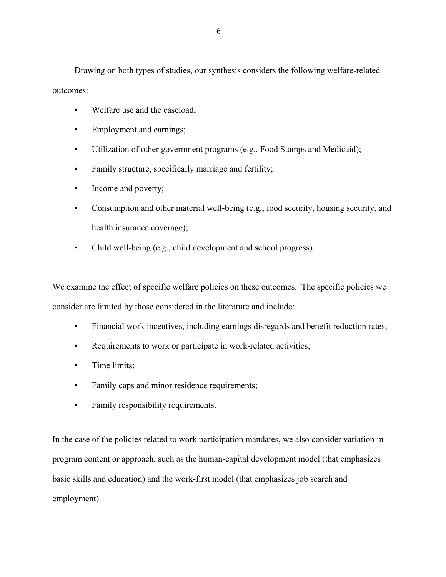Drawing on both types of studies, our synthesis considers the following welfare-related outcomes:

- Welfare use and the caseload;
- Employment and earnings;
- Utilization of other government programs (e.g., Food Stamps and Medicaid);
- Family structure, specifically marriage and fertility;
- Income and poverty;
- Consumption and other material well-being (e.g., food security, housing security, and health insurance coverage);
- Child well-being (e.g., child development and school progress).

We examine the effect of specific welfare policies on these outcomes. The specific policies we consider are limited by those considered in the literature and include:

- Financial work incentives, including earnings disregards and benefit reduction rates;
- Requirements to work or participate in work-related activities;
- Time limits;
- Family caps and minor residence requirements;
- Family responsibility requirements.

In the case of the policies related to work participation mandates, we also consider variation in program content or approach, such as the human-capital development model (that emphasizes basic skills and education) and the work-first model (that emphasizes job search and employment).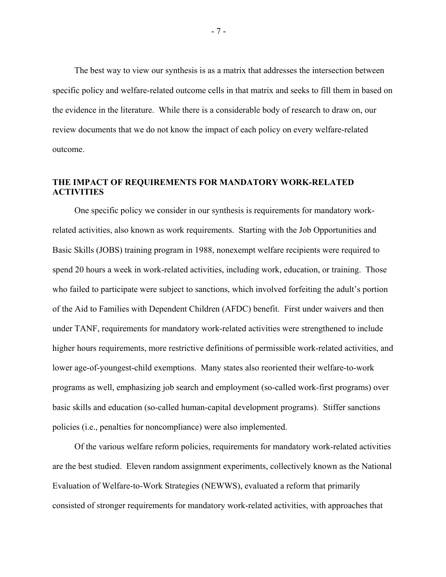The best way to view our synthesis is as a matrix that addresses the intersection between specific policy and welfare-related outcome cells in that matrix and seeks to fill them in based on the evidence in the literature. While there is a considerable body of research to draw on, our review documents that we do not know the impact of each policy on every welfare-related outcome.

# **THE IMPACT OF REQUIREMENTS FOR MANDATORY WORK-RELATED ACTIVITIES**

One specific policy we consider in our synthesis is requirements for mandatory workrelated activities, also known as work requirements. Starting with the Job Opportunities and Basic Skills (JOBS) training program in 1988, nonexempt welfare recipients were required to spend 20 hours a week in work-related activities, including work, education, or training. Those who failed to participate were subject to sanctions, which involved forfeiting the adult's portion of the Aid to Families with Dependent Children (AFDC) benefit. First under waivers and then under TANF, requirements for mandatory work-related activities were strengthened to include higher hours requirements, more restrictive definitions of permissible work-related activities, and lower age-of-youngest-child exemptions. Many states also reoriented their welfare-to-work programs as well, emphasizing job search and employment (so-called work-first programs) over basic skills and education (so-called human-capital development programs). Stiffer sanctions policies (i.e., penalties for noncompliance) were also implemented.

Of the various welfare reform policies, requirements for mandatory work-related activities are the best studied. Eleven random assignment experiments, collectively known as the National Evaluation of Welfare-to-Work Strategies (NEWWS), evaluated a reform that primarily consisted of stronger requirements for mandatory work-related activities, with approaches that

- 7 -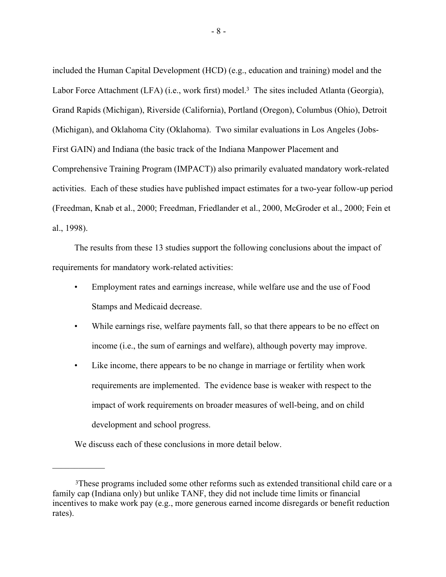included the Human Capital Development (HCD) (e.g., education and training) model and the Labor Force Attachment (LFA) (i.e., work first) model.<sup>3</sup> The sites included Atlanta (Georgia), Grand Rapids (Michigan), Riverside (California), Portland (Oregon), Columbus (Ohio), Detroit (Michigan), and Oklahoma City (Oklahoma). Two similar evaluations in Los Angeles (Jobs-First GAIN) and Indiana (the basic track of the Indiana Manpower Placement and Comprehensive Training Program (IMPACT)) also primarily evaluated mandatory work-related activities. Each of these studies have published impact estimates for a two-year follow-up period (Freedman, Knab et al., 2000; Freedman, Friedlander et al., 2000, McGroder et al., 2000; Fein et al., 1998).

The results from these 13 studies support the following conclusions about the impact of requirements for mandatory work-related activities:

- Employment rates and earnings increase, while welfare use and the use of Food Stamps and Medicaid decrease.
- While earnings rise, welfare payments fall, so that there appears to be no effect on income (i.e., the sum of earnings and welfare), although poverty may improve.
- Like income, there appears to be no change in marriage or fertility when work requirements are implemented. The evidence base is weaker with respect to the impact of work requirements on broader measures of well-being, and on child development and school progress.

We discuss each of these conclusions in more detail below.

 $\frac{1}{2}$ 

<span id="page-8-0"></span><sup>3</sup>These programs included some other reforms such as extended transitional child care or a family cap (Indiana only) but unlike TANF, they did not include time limits or financial incentives to make work pay (e.g., more generous earned income disregards or benefit reduction rates).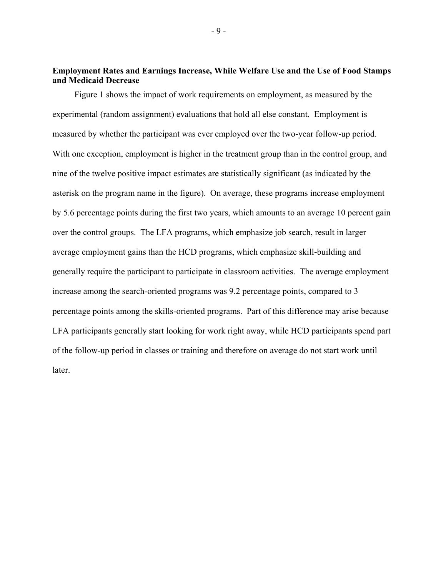## **Employment Rates and Earnings Increase, While Welfare Use and the Use of Food Stamps and Medicaid Decrease**

Figure 1 shows the impact of work requirements on employment, as measured by the experimental (random assignment) evaluations that hold all else constant. Employment is measured by whether the participant was ever employed over the two-year follow-up period. With one exception, employment is higher in the treatment group than in the control group, and nine of the twelve positive impact estimates are statistically significant (as indicated by the asterisk on the program name in the figure). On average, these programs increase employment by 5.6 percentage points during the first two years, which amounts to an average 10 percent gain over the control groups. The LFA programs, which emphasize job search, result in larger average employment gains than the HCD programs, which emphasize skill-building and generally require the participant to participate in classroom activities. The average employment increase among the search-oriented programs was 9.2 percentage points, compared to 3 percentage points among the skills-oriented programs. Part of this difference may arise because LFA participants generally start looking for work right away, while HCD participants spend part of the follow-up period in classes or training and therefore on average do not start work until later.

- 9 -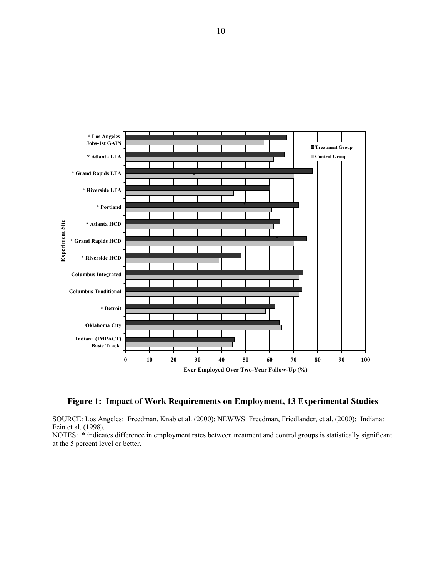

#### **Figure 1: Impact of Work Requirements on Employment, 13 Experimental Studies**

SOURCE: Los Angeles: Freedman, Knab et al. (2000); NEWWS: Freedman, Friedlander, et al. (2000); Indiana: Fein et al. (1998).

NOTES: \* indicates difference in employment rates between treatment and control groups is statistically significant at the 5 percent level or better.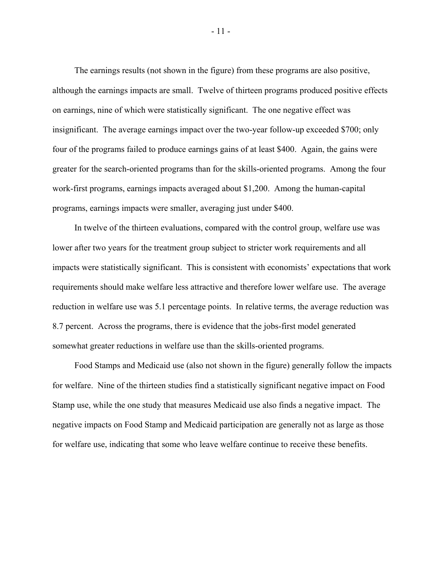The earnings results (not shown in the figure) from these programs are also positive, although the earnings impacts are small. Twelve of thirteen programs produced positive effects on earnings, nine of which were statistically significant. The one negative effect was insignificant. The average earnings impact over the two-year follow-up exceeded \$700; only four of the programs failed to produce earnings gains of at least \$400. Again, the gains were greater for the search-oriented programs than for the skills-oriented programs. Among the four work-first programs, earnings impacts averaged about \$1,200. Among the human-capital programs, earnings impacts were smaller, averaging just under \$400.

In twelve of the thirteen evaluations, compared with the control group, welfare use was lower after two years for the treatment group subject to stricter work requirements and all impacts were statistically significant. This is consistent with economists' expectations that work requirements should make welfare less attractive and therefore lower welfare use. The average reduction in welfare use was 5.1 percentage points. In relative terms, the average reduction was 8.7 percent. Across the programs, there is evidence that the jobs-first model generated somewhat greater reductions in welfare use than the skills-oriented programs.

Food Stamps and Medicaid use (also not shown in the figure) generally follow the impacts for welfare. Nine of the thirteen studies find a statistically significant negative impact on Food Stamp use, while the one study that measures Medicaid use also finds a negative impact. The negative impacts on Food Stamp and Medicaid participation are generally not as large as those for welfare use, indicating that some who leave welfare continue to receive these benefits.

- 11 -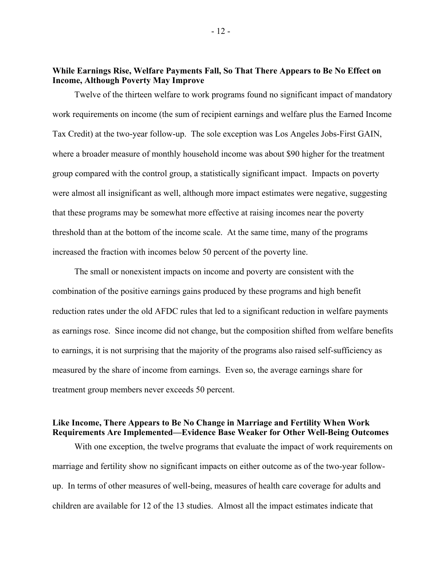## **While Earnings Rise, Welfare Payments Fall, So That There Appears to Be No Effect on Income, Although Poverty May Improve**

Twelve of the thirteen welfare to work programs found no significant impact of mandatory work requirements on income (the sum of recipient earnings and welfare plus the Earned Income Tax Credit) at the two-year follow-up. The sole exception was Los Angeles Jobs-First GAIN, where a broader measure of monthly household income was about \$90 higher for the treatment group compared with the control group, a statistically significant impact. Impacts on poverty were almost all insignificant as well, although more impact estimates were negative, suggesting that these programs may be somewhat more effective at raising incomes near the poverty threshold than at the bottom of the income scale. At the same time, many of the programs increased the fraction with incomes below 50 percent of the poverty line.

The small or nonexistent impacts on income and poverty are consistent with the combination of the positive earnings gains produced by these programs and high benefit reduction rates under the old AFDC rules that led to a significant reduction in welfare payments as earnings rose. Since income did not change, but the composition shifted from welfare benefits to earnings, it is not surprising that the majority of the programs also raised self-sufficiency as measured by the share of income from earnings. Even so, the average earnings share for treatment group members never exceeds 50 percent.

# **Like Income, There Appears to Be No Change in Marriage and Fertility When Work Requirements Are Implemented—Evidence Base Weaker for Other Well-Being Outcomes**

With one exception, the twelve programs that evaluate the impact of work requirements on marriage and fertility show no significant impacts on either outcome as of the two-year followup. In terms of other measures of well-being, measures of health care coverage for adults and children are available for 12 of the 13 studies. Almost all the impact estimates indicate that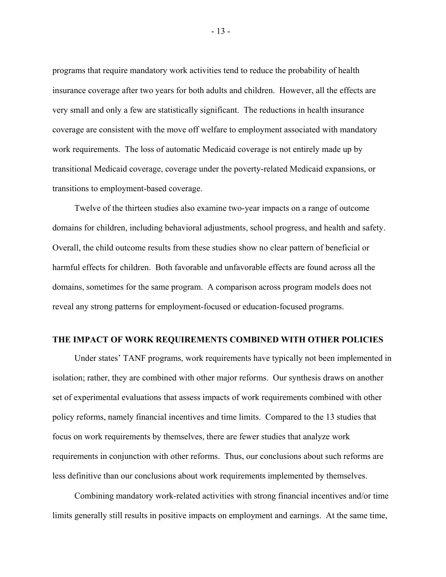programs that require mandatory work activities tend to reduce the probability of health insurance coverage after two years for both adults and children. However, all the effects are very small and only a few are statistically significant. The reductions in health insurance coverage are consistent with the move off welfare to employment associated with mandatory work requirements. The loss of automatic Medicaid coverage is not entirely made up by transitional Medicaid coverage, coverage under the poverty-related Medicaid expansions, or transitions to employment-based coverage.

Twelve of the thirteen studies also examine two-year impacts on a range of outcome domains for children, including behavioral adjustments, school progress, and health and safety. Overall, the child outcome results from these studies show no clear pattern of beneficial or harmful effects for children. Both favorable and unfavorable effects are found across all the domains, sometimes for the same program. A comparison across program models does not reveal any strong patterns for employment-focused or education-focused programs.

## **THE IMPACT OF WORK REQUIREMENTS COMBINED WITH OTHER POLICIES**

Under states' TANF programs, work requirements have typically not been implemented in isolation; rather, they are combined with other major reforms. Our synthesis draws on another set of experimental evaluations that assess impacts of work requirements combined with other policy reforms, namely financial incentives and time limits. Compared to the 13 studies that focus on work requirements by themselves, there are fewer studies that analyze work requirements in conjunction with other reforms. Thus, our conclusions about such reforms are less definitive than our conclusions about work requirements implemented by themselves.

Combining mandatory work-related activities with strong financial incentives and/or time limits generally still results in positive impacts on employment and earnings. At the same time,

- 13 -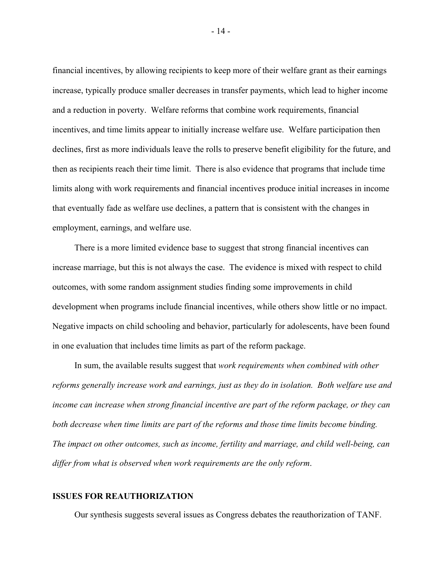financial incentives, by allowing recipients to keep more of their welfare grant as their earnings increase, typically produce smaller decreases in transfer payments, which lead to higher income and a reduction in poverty. Welfare reforms that combine work requirements, financial incentives, and time limits appear to initially increase welfare use. Welfare participation then declines, first as more individuals leave the rolls to preserve benefit eligibility for the future, and then as recipients reach their time limit. There is also evidence that programs that include time limits along with work requirements and financial incentives produce initial increases in income that eventually fade as welfare use declines, a pattern that is consistent with the changes in employment, earnings, and welfare use.

There is a more limited evidence base to suggest that strong financial incentives can increase marriage, but this is not always the case. The evidence is mixed with respect to child outcomes, with some random assignment studies finding some improvements in child development when programs include financial incentives, while others show little or no impact. Negative impacts on child schooling and behavior, particularly for adolescents, have been found in one evaluation that includes time limits as part of the reform package.

In sum, the available results suggest that *work requirements when combined with other reforms generally increase work and earnings, just as they do in isolation. Both welfare use and income can increase when strong financial incentive are part of the reform package, or they can both decrease when time limits are part of the reforms and those time limits become binding. The impact on other outcomes, such as income, fertility and marriage, and child well-being, can differ from what is observed when work requirements are the only reform*.

### **ISSUES FOR REAUTHORIZATION**

Our synthesis suggests several issues as Congress debates the reauthorization of TANF.

- 14 -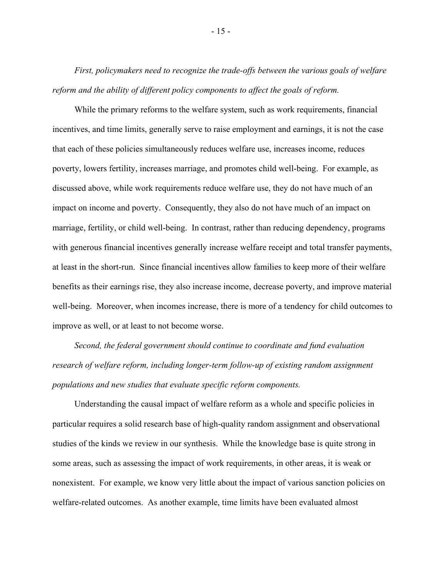*First, policymakers need to recognize the trade-offs between the various goals of welfare reform and the ability of different policy components to affect the goals of reform.*

While the primary reforms to the welfare system, such as work requirements, financial incentives, and time limits, generally serve to raise employment and earnings, it is not the case that each of these policies simultaneously reduces welfare use, increases income, reduces poverty, lowers fertility, increases marriage, and promotes child well-being. For example, as discussed above, while work requirements reduce welfare use, they do not have much of an impact on income and poverty. Consequently, they also do not have much of an impact on marriage, fertility, or child well-being. In contrast, rather than reducing dependency, programs with generous financial incentives generally increase welfare receipt and total transfer payments, at least in the short-run. Since financial incentives allow families to keep more of their welfare benefits as their earnings rise, they also increase income, decrease poverty, and improve material well-being. Moreover, when incomes increase, there is more of a tendency for child outcomes to improve as well, or at least to not become worse.

*Second, the federal government should continue to coordinate and fund evaluation research of welfare reform, including longer-term follow-up of existing random assignment populations and new studies that evaluate specific reform components.* 

Understanding the causal impact of welfare reform as a whole and specific policies in particular requires a solid research base of high-quality random assignment and observational studies of the kinds we review in our synthesis. While the knowledge base is quite strong in some areas, such as assessing the impact of work requirements, in other areas, it is weak or nonexistent. For example, we know very little about the impact of various sanction policies on welfare-related outcomes. As another example, time limits have been evaluated almost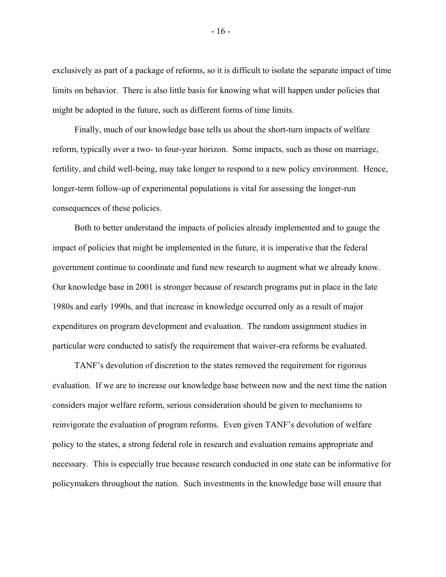exclusively as part of a package of reforms, so it is difficult to isolate the separate impact of time limits on behavior. There is also little basis for knowing what will happen under policies that might be adopted in the future, such as different forms of time limits.

Finally, much of our knowledge base tells us about the short-turn impacts of welfare reform, typically over a two- to four-year horizon. Some impacts, such as those on marriage, fertility, and child well-being, may take longer to respond to a new policy environment. Hence, longer-term follow-up of experimental populations is vital for assessing the longer-run consequences of these policies.

Both to better understand the impacts of policies already implemented and to gauge the impact of policies that might be implemented in the future, it is imperative that the federal government continue to coordinate and fund new research to augment what we already know. Our knowledge base in 2001 is stronger because of research programs put in place in the late 1980s and early 1990s, and that increase in knowledge occurred only as a result of major expenditures on program development and evaluation. The random assignment studies in particular were conducted to satisfy the requirement that waiver-era reforms be evaluated.

TANF's devolution of discretion to the states removed the requirement for rigorous evaluation. If we are to increase our knowledge base between now and the next time the nation considers major welfare reform, serious consideration should be given to mechanisms to reinvigorate the evaluation of program reforms. Even given TANF's devolution of welfare policy to the states, a strong federal role in research and evaluation remains appropriate and necessary. This is especially true because research conducted in one state can be informative for policymakers throughout the nation. Such investments in the knowledge base will ensure that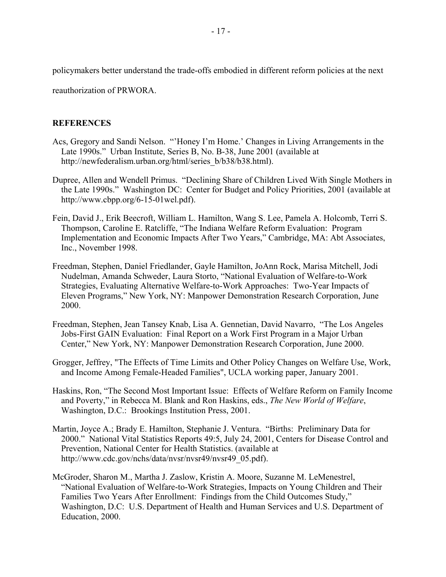policymakers better understand the trade-offs embodied in different reform policies at the next

reauthorization of PRWORA.

## **REFERENCES**

- Acs, Gregory and Sandi Nelson. "'Honey I'm Home.' Changes in Living Arrangements in the Late 1990s." Urban Institute, Series B, No. B-38, June 2001 (available at http://newfederalism.urban.org/html/series\_b/b38/b38.html).
- Dupree, Allen and Wendell Primus. "Declining Share of Children Lived With Single Mothers in the Late 1990s." Washington DC: Center for Budget and Policy Priorities, 2001 (available at http://www.cbpp.org/6-15-01wel.pdf).
- Fein, David J., Erik Beecroft, William L. Hamilton, Wang S. Lee, Pamela A. Holcomb, Terri S. Thompson, Caroline E. Ratcliffe, "The Indiana Welfare Reform Evaluation: Program Implementation and Economic Impacts After Two Years," Cambridge, MA: Abt Associates, Inc., November 1998.
- Freedman, Stephen, Daniel Friedlander, Gayle Hamilton, JoAnn Rock, Marisa Mitchell, Jodi Nudelman, Amanda Schweder, Laura Storto, "National Evaluation of Welfare-to-Work Strategies, Evaluating Alternative Welfare-to-Work Approaches: Two-Year Impacts of Eleven Programs," New York, NY: Manpower Demonstration Research Corporation, June 2000.
- Freedman, Stephen, Jean Tansey Knab, Lisa A. Gennetian, David Navarro, "The Los Angeles Jobs-First GAIN Evaluation: Final Report on a Work First Program in a Major Urban Center," New York, NY: Manpower Demonstration Research Corporation, June 2000.
- Grogger, Jeffrey, "The Effects of Time Limits and Other Policy Changes on Welfare Use, Work, and Income Among Female-Headed Families", UCLA working paper, January 2001.
- Haskins, Ron, "The Second Most Important Issue: Effects of Welfare Reform on Family Income and Poverty," in Rebecca M. Blank and Ron Haskins, eds., *The New World of Welfare*, Washington, D.C.: Brookings Institution Press, 2001.
- Martin, Joyce A.; Brady E. Hamilton, Stephanie J. Ventura. "Births: Preliminary Data for 2000." National Vital Statistics Reports 49:5, July 24, 2001, Centers for Disease Control and Prevention, National Center for Health Statistics. (available at http://www.cdc.gov/nchs/data/nvsr/nvsr49/nvsr49\_05.pdf).
- McGroder, Sharon M., Martha J. Zaslow, Kristin A. Moore, Suzanne M. LeMenestrel, "National Evaluation of Welfare-to-Work Strategies, Impacts on Young Children and Their Families Two Years After Enrollment: Findings from the Child Outcomes Study," Washington, D.C: U.S. Department of Health and Human Services and U.S. Department of Education, 2000.